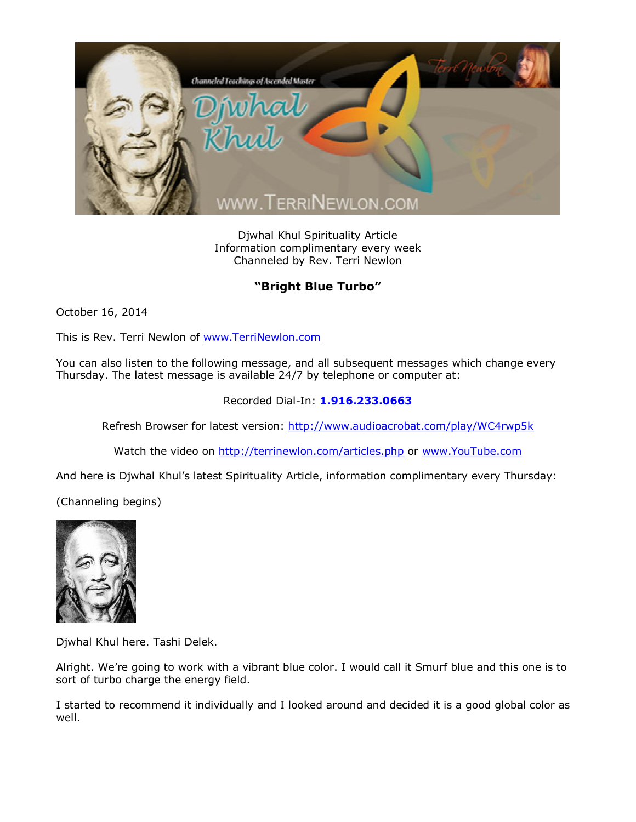

Djwhal Khul Spirituality Article Information complimentary every week Channeled by Rev. Terri Newlon

## **"Bright Blue Turbo"**

October 16, 2014

This is Rev. Terri Newlon of [www.TerriNewlon.com](http://www.terrinewlon.com/)

You can also listen to the following message, and all subsequent messages which change every Thursday. The latest message is available 24/7 by telephone or computer at:

## Recorded Dial-In: **1.916.233.0663**

Refresh Browser for latest version: <http://www.audioacrobat.com/play/WC4rwp5k>

Watch the video on <http://terrinewlon.com/articles.php> or [www.YouTube.com](http://www.youtube.com/)

And here is Djwhal Khul's latest Spirituality Article, information complimentary every Thursday:

(Channeling begins)



Djwhal Khul here. Tashi Delek.

Alright. We're going to work with a vibrant blue color. I would call it Smurf blue and this one is to sort of turbo charge the energy field.

I started to recommend it individually and I looked around and decided it is a good global color as well.